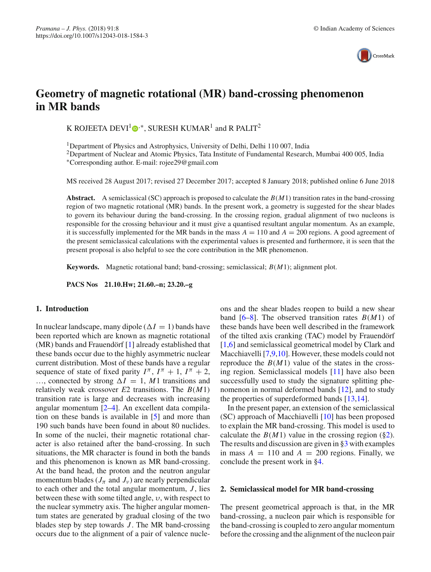

# **Geometry of magnetic rotational (MR) band-crossing phenomenon in MR bands**

K ROJEETA DEVI<sup>[1](http://orcid.org/0000-0002-5687-1118)</sup> $\mathbf{D}^{**}$ , SURESH KUMAR<sup>1</sup> and R PALIT<sup>2</sup>

<sup>1</sup>Department of Physics and Astrophysics, University of Delhi, Delhi 110 007, India

<sup>2</sup>Department of Nuclear and Atomic Physics, Tata Institute of Fundamental Research, Mumbai 400 005, India ∗Corresponding author. E-mail: rojee29@gmail.com

MS received 28 August 2017; revised 27 December 2017; accepted 8 January 2018; published online 6 June 2018

**Abstract.** A semiclassical (SC) approach is proposed to calculate the *B*(*M*1) transition rates in the band-crossing region of two magnetic rotational (MR) bands. In the present work, a geometry is suggested for the shear blades to govern its behaviour during the band-crossing. In the crossing region, gradual alignment of two nucleons is responsible for the crossing behaviour and it must give a quantised resultant angular momentum. As an example, it is successfully implemented for the MR bands in the mass  $A = 110$  and  $A = 200$  regions. A good agreement of the present semiclassical calculations with the experimental values is presented and furthermore, it is seen that the present proposal is also helpful to see the core contribution in the MR phenomenon.

**Keywords.** Magnetic rotational band; band-crossing; semiclassical; *B*(*M*1); alignment plot.

**PACS Nos 21.10.Hw; 21.60.–n; 23.20.–g**

## **1. Introduction**

In nuclear landscape, many dipole  $(\Delta I = 1)$  bands have been reported which are known as magnetic rotational (MR) bands and Frauendörf [\[1](#page-4-0)] already established that these bands occur due to the highly asymmetric nuclear current distribution. Most of these bands have a regular sequence of state of fixed parity  $I^{\pi}$ ,  $I^{\pi} + 1$ ,  $I^{\pi} + 2$ , ..., connected by strong  $\Delta I = 1$ , *M*1 transitions and relatively weak crossover *E*2 transitions. The *B*(*M*1) transition rate is large and decreases with increasing angular momentum [\[2](#page-4-1)[–4\]](#page-4-2). An excellent data compilation on these bands is available in [\[5\]](#page-4-3) and more than 190 such bands have been found in about 80 nuclides. In some of the nuclei, their magnetic rotational character is also retained after the band-crossing. In such situations, the MR character is found in both the bands and this phenomenon is known as MR band-crossing. At the band head, the proton and the neutron angular momentum blades ( $J_{\pi}$  and  $J_{\nu}$ ) are nearly perpendicular to each other and the total angular momentum, *J*, lies between these with some tilted angle,  $v$ , with respect to the nuclear symmetry axis. The higher angular momentum states are generated by gradual closing of the two blades step by step towards *J* . The MR band-crossing occurs due to the alignment of a pair of valence nucleons and the shear blades reopen to build a new shear band [\[6](#page-4-4)[–8\]](#page-4-5). The observed transition rates *B*(*M*1) of these bands have been well described in the framework of the tilted axis cranking (TAC) model by Frauendörf [\[1](#page-4-0)[,6\]](#page-4-4) and semiclassical geometrical model by Clark and Macchiavelli [\[7](#page-4-6)[,9](#page-4-7)[,10\]](#page-4-8). However, these models could not reproduce the  $B(M1)$  value of the states in the crossing region. Semiclassical models [\[11](#page-4-9)] have also been successfully used to study the signature splitting phenomenon in normal deformed bands [\[12](#page-4-10)], and to study the properties of superdeformed bands [\[13](#page-4-11)[,14](#page-4-12)].

In the present paper, an extension of the semiclassical (SC) approach of Macchiavelli [\[10\]](#page-4-8) has been proposed to explain the MR band-crossing. This model is used to calculate the  $B(M1)$  value in the crossing region ([§2\)](#page-0-0). The results and discussion are given in [§3](#page-1-0) with examples in mass  $A = 110$  and  $A = 200$  regions. Finally, we conclude the present work in [§4.](#page-3-0)

#### <span id="page-0-0"></span>**2. Semiclassical model for MR band-crossing**

The present geometrical approach is that, in the MR band-crossing, a nucleon pair which is responsible for the band-crossing is coupled to zero angular momentum before the crossing and the alignment of the nucleon pair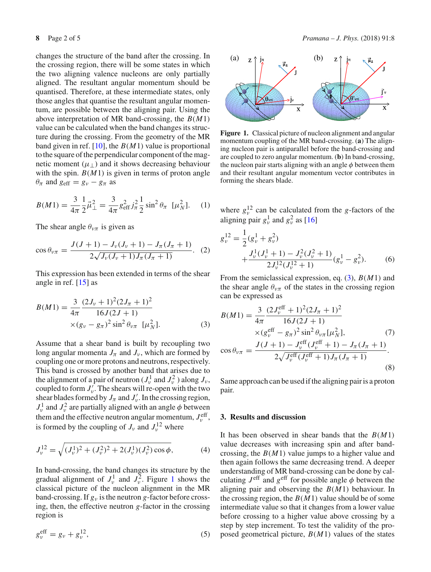changes the structure of the band after the crossing. In the crossing region, there will be some states in which the two aligning valence nucleons are only partially aligned. The resultant angular momentum should be quantised. Therefore, at these intermediate states, only those angles that quantise the resultant angular momentum, are possible between the aligning pair. Using the above interpretation of MR band-crossing, the *B*(*M*1) value can be calculated when the band changes its structure during the crossing. From the geometry of the MR band given in ref. [\[10\]](#page-4-8), the *B*(*M*1) value is proportional to the square of the perpendicular component of the magnetic moment  $(\mu_{\perp})$  and it shows decreasing behaviour with the spin.  $B(M1)$  is given in terms of proton angle  $\theta_{\pi}$  and  $g_{\text{eff}} = g_{\nu} - g_{\pi}$  as

$$
B(M1) = \frac{3}{4\pi} \frac{1}{2} \vec{\mu}_{\perp}^2 = \frac{3}{4\pi} g_{\text{eff}}^2 j_{\pi}^2 \frac{1}{2} \sin^2 \theta_{\pi} \ [\mu_N^2]. \tag{1}
$$

The shear angle  $\theta_{\nu\pi}$  is given as

$$
\cos \theta_{\nu\pi} = \frac{J(J+1) - J_{\nu}(J_{\nu}+1) - J_{\pi}(J_{\pi}+1)}{2\sqrt{J_{\nu}(J_{\nu}+1)J_{\pi}(J_{\pi}+1)}}.
$$
 (2)

This expression has been extended in terms of the shear angle in ref. [\[15](#page-4-13)] as

<span id="page-1-2"></span>
$$
B(M1) = \frac{3}{4\pi} \frac{(2J_{\nu} + 1)^{2}(2J_{\pi} + 1)^{2}}{16J(2J + 1)} \times (g_{\nu} - g_{\pi})^{2} \sin^{2} \theta_{\nu\pi} \quad [\mu_{N}^{2}].
$$
 (3)

Assume that a shear band is built by recoupling two long angular momenta  $J_{\pi}$  and  $J_{\nu}$ , which are formed by coupling one or more protons and neutrons, respectively. This band is crossed by another band that arises due to the alignment of a pair of neutron  $(J_v^1 \text{ and } J_v^2)$  along  $J_v$ , coupled to form  $J'_{\nu}$ . The shears will re-open with the two shear blades formed by  $J_{\pi}$  and  $J'_{\nu}$ . In the crossing region,  $J_{\nu}^1$  and  $J_{\nu}^2$  are partially aligned with an angle  $\phi$  between them and the effective neutron angular momentum,  $J_{\nu}^{\text{eff}}$ , is formed by the coupling of  $J_\nu$  and  $J_\nu^{12}$  where

$$
J_{\nu}^{12} = \sqrt{(J_{\nu}^1)^2 + (J_{\nu}^2)^2 + 2(J_{\nu}^1)(J_{\nu}^2)\cos\phi},
$$
 (4)

In band-crossing, the band changes its structure by the gradual alignment of  $J_{\nu}^1$  $J_{\nu}^1$  and  $J_{\nu}^2$ . Figure 1 shows the classical picture of the nucleon alignment in the MR band-crossing. If *g*<sup>ν</sup> is the neutron *g*-factor before crossing, then, the effective neutron *g*-factor in the crossing region is

$$
g_{\nu}^{\text{eff}} = g_{\nu} + g_{\nu}^{12},\tag{5}
$$



<span id="page-1-1"></span>**Figure 1.** Classical picture of nucleon alignment and angular momentum coupling of the MR band-crossing. (**a**) The aligning nucleon pair is antiparallel before the band-crossing and are coupled to zero angular momentum. (**b**) In band-crossing, the nucleon pair starts aligning with an angle  $\phi$  between them and their resultant angular momentum vector contributes in forming the shears blade.

where  $g_{\nu}^{12}$  can be calculated from the *g*-factors of the aligning pair  $g_v^1$  and  $g_v^2$  as [\[16](#page-4-14)]

$$
g_{\nu}^{12} = \frac{1}{2} (g_{\nu}^{1} + g_{\nu}^{2})
$$
  
 
$$
+ \frac{J_{\nu}^{1} (J_{\nu}^{1} + 1) - J_{\nu}^{2} (J_{\nu}^{2} + 1)}{2 J_{\nu}^{12} (J_{\nu}^{12} + 1)} (g_{\nu}^{1} - g_{\nu}^{2}).
$$
 (6)

From the semiclassical expression, eq. [\(3\)](#page-1-2), *B*(*M*1) and the shear angle  $\theta_{\nu\pi}$  of the states in the crossing region can be expressed as

$$
B(M1) = \frac{3}{4\pi} \frac{(2J_{\nu}^{\text{eff}} + 1)^{2}(2J_{\pi} + 1)^{2}}{16J(2J + 1)}
$$
  
× $(g_{\nu}^{\text{eff}} - g_{\pi})^{2} \sin^{2} \theta_{\nu\pi} [\mu_{N}^{2}],$  (7)  
cos $\theta_{\nu\pi} = \frac{J(J + 1) - J_{\nu}^{\text{eff}}(J_{\nu}^{\text{eff}} + 1) - J_{\pi}(J_{\pi} + 1)}{2\sqrt{J_{\nu}^{\text{eff}}(J_{\nu}^{\text{eff}} + 1)J_{\pi}(J_{\pi} + 1)}}$ . (8)

Same approach can be used if the aligning pair is a proton pair.

## <span id="page-1-0"></span>**3. Results and discussion**

It has been observed in shear bands that the *B*(*M*1) value decreases with increasing spin and after bandcrossing, the *B*(*M*1) value jumps to a higher value and then again follows the same decreasing trend. A deeper understanding of MR band-crossing can be done by calculating  $J^{\text{eff}}$  and  $g^{\text{eff}}$  for possible angle  $\phi$  between the aligning pair and observing the *B*(*M*1) behaviour. In the crossing region, the  $B(M1)$  value should be of some intermediate value so that it changes from a lower value before crossing to a higher value above crossing by a step by step increment. To test the validity of the proposed geometrical picture, *B*(*M*1) values of the states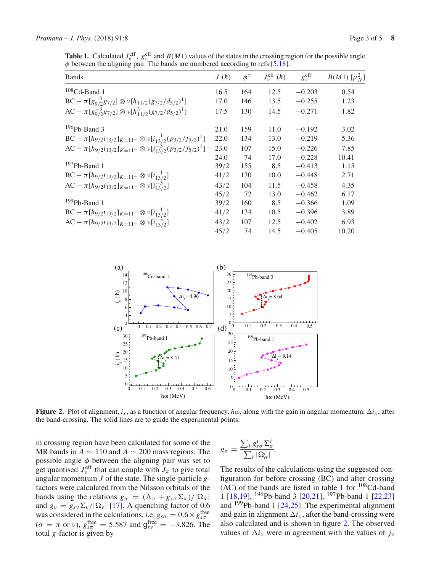<span id="page-2-0"></span>**Table 1.** Calculated  $J_v^{\text{eff}}$ ,  $g_v^{\text{eff}}$  and  $B(M1)$  values of the states in the crossing region for the possible angle  $\phi$  between the aligning pair. The bands are numbered according to refs [\[5](#page-4-3)[,18](#page-4-15)].

| <b>Bands</b>                                                                                                                                                         | J(h) | $\phi^{\circ}$ | $J_{v}^{\text{eff}}(\hbar)$ | $g_{\nu}^{\text{eff}}$ | $B(M1) \; [\mu_N^2]$ |
|----------------------------------------------------------------------------------------------------------------------------------------------------------------------|------|----------------|-----------------------------|------------------------|----------------------|
| $108$ Cd-Band 1                                                                                                                                                      | 16.5 | 164            | 12.5                        | $-0.203$               | 0.54                 |
|                                                                                                                                                                      | 17.0 | 146            | 13.5                        | $-0.255$               | 1.23                 |
| BC - $\pi[g_{9/2}^{-3}g_{7/2}] \otimes \nu[h_{11/2}(g_{7/2}/d_{5/2})^1]$<br>AC - $\pi[g_{9/2}^{-3}g_{7/2}] \otimes \nu[h_{11/2}^3(g_{7/2}/d_{5/2})^1]$               | 17.5 | 130            | 14.5                        | $-0.271$               | 1.82                 |
| $196Pb$ -Band 3                                                                                                                                                      | 21.0 | 159            | 11.0                        | $-0.192$               | 3.02                 |
| BC - $\pi[h_{9/2}i_{13/2}]_{K=11^-} \otimes v[i_{13/2}^{-1}(p_{3/2}/f_{5/2})^1]$<br>AC - $\pi[h_{9/2}i_{13/2}]_{K=11^-} \otimes v[i_{13/2}^{-3}(p_{3/2}/f_{5/2})^1]$ | 22.0 | 134            | 13.0                        | $-0.219$               | 5.36                 |
|                                                                                                                                                                      | 23.0 | 107            | 15.0                        | $-0.226$               | 7.85                 |
|                                                                                                                                                                      | 24.0 | 74             | 17.0                        | $-0.228$               | 10.41                |
| $197Pb$ -Band 1                                                                                                                                                      | 39/2 | 155            | 8.5                         | $-0.413$               | 1.15                 |
|                                                                                                                                                                      | 41/2 | 130            | 10.0                        | $-0.448$               | 2.71                 |
| BC - $\pi[h_{9/2}i_{13/2}]_{K=11^-} \otimes \nu[i_{13/2}^{-1}]$<br>AC - $\pi[h_{9/2}i_{13/2}]_{K=11^-} \otimes \nu[i_{13/2}^{-3}]$                                   | 43/2 | 104            | 11.5                        | $-0.458$               | 4.35                 |
|                                                                                                                                                                      | 45/2 | 72             | 13.0                        | $-0.462$               | 6.17                 |
| $199Pb$ -Band 1                                                                                                                                                      | 39/2 | 160            | 8.5                         | $-0.366$               | 1.09                 |
| BC - $\pi[h_{9/2}i_{13/2}]_{K=11^-} \otimes \nu[i_{13/2}^{-1}]$<br>AC - $\pi[h_{9/2}i_{13/2}]_{K=11^-} \otimes \nu[i_{13/2}^{-3}]$                                   | 41/2 | 134            | 10.5                        | $-0.396$               | 3.89                 |
|                                                                                                                                                                      | 43/2 | 107            | 12.5                        | $-0.402$               | 6.93                 |
|                                                                                                                                                                      | 45/2 | 74             | 14.5                        | $-0.405$               | 10.20                |



<span id="page-2-1"></span>**Figure 2.** Plot of alignment,  $i_x$ , as a function of angular frequency,  $\hbar\omega$ , along with the gain in angular momentum,  $\Delta i_x$ , after the band-crossing. The solid lines are to guide the experimental points.

in crossing region have been calculated for some of the MR bands in  $A \sim 110$  and  $A \sim 200$  mass regions. The possible angle  $\phi$  between the aligning pair was set to get quantised  $J_{\nu}^{\text{eff}}$  that can couple with  $J_{\pi}$  to give total angular momentum *J* of the state. The single-particle *g*factors were calculated from the Nilsson orbitals of the bands using the relations  $g_{\pi} = (\Lambda_{\pi} + g_{s\pi} \Sigma_{\pi})/|\Omega_{\pi}|$ and  $g_{\nu} = g_{\nu} \Sigma_{\nu} / |\Omega_{\nu}|$  [\[17\]](#page-4-16). A quenching factor of 0.6 was considered in the calculations, i.e.  $g_{s\sigma} = 0.6 \times g_{s\sigma}^{\text{free}}$  $(\sigma = \pi \text{ or } \nu)$ ,  $g_{s\pi}^{\text{free}} = 5.587$  and  $g_{s\nu}^{\text{free}} = -3.826$ . The total *g*-factor is given by

$$
g_{\sigma} = \frac{\sum_{i} g_{s\sigma}^{i} \Sigma_{\sigma}^{i}}{\sum_{i} |\Omega_{\sigma}^{i}|}.
$$

The results of the calculations using the suggested configuration for before crossing (BC) and after crossing  $(AC)$  of the bands are listed in table [1](#page-2-0) for  $108$ Cd-band 1 [\[18](#page-4-15)[,19\]](#page-4-17), 196Pb-band 3 [\[20](#page-4-18)[,21\]](#page-4-19), 197Pb-band 1 [\[22](#page-4-20)[,23\]](#page-4-21) and 199Pb-band 1 [\[24](#page-4-22)[,25](#page-4-23)]. The experimental alignment and gain in alignment  $\Delta i_x$ , after the band-crossing were also calculated and is shown in figure [2.](#page-2-1) The observed values of  $\Delta i_x$  were in agreement with the values of  $j_y$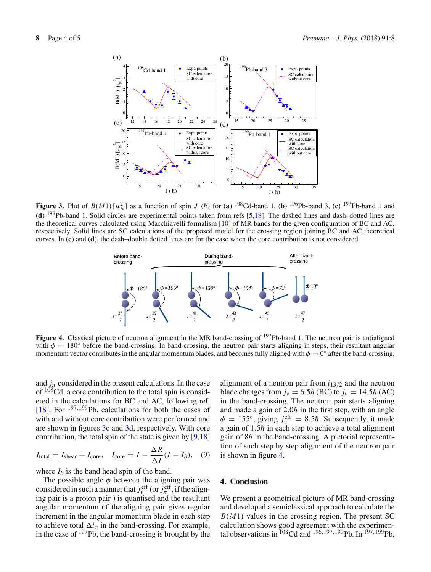

<span id="page-3-1"></span>**Figure 3.** Plot of  $B(M1)[\mu_N^2]$  as a function of spin *J* (*h*) for (a) <sup>108</sup>Cd-band 1, (b) <sup>196</sup>Pb-band 3, (c) <sup>197</sup>Pb-band 1 and (**d**) 199Pb-band 1. Solid circles are experimental points taken from refs [\[5](#page-4-3)[,18\]](#page-4-15). The dashed lines and dash–dotted lines are the theoretical curves calculated using Macchiavelli formalism [\[10\]](#page-4-8) of MR bands for the given configuration of BC and AC, respectively. Solid lines are SC calculations of the proposed model for the crossing region joining BC and AC theoretical curves. In (**c**) and (**d**), the dash–double dotted lines are for the case when the core contribution is not considered.



<span id="page-3-2"></span>**Figure 4.** Classical picture of neutron alignment in the MR band-crossing of <sup>197</sup>Pb-band 1. The neutron pair is antialigned with  $\phi = 180^\circ$  before the band-crossing. In band-crossing, the neutron pair starts aligning in steps, their resultant angular momentum vector contributes in the angular momentum blades, and becomes fully aligned with  $\phi = 0^\circ$  after the band-crossing.

and  $j_\pi$  considered in the present calculations. In the case of  $108$ Cd, a core contribution to the total spin is considered in the calculations for BC and AC, following ref. [\[18](#page-4-15)]. For <sup>197,199</sup>Pb, calculations for both the cases of with and without core contribution were performed and are shown in figures [3c](#page-3-1) and [3d](#page-3-1), respectively. With core contribution, the total spin of the state is given by [\[9](#page-4-7)[,18\]](#page-4-15)

$$
I_{\text{total}} = I_{\text{shear}} + I_{\text{core}}, \quad I_{\text{core}} = I - \frac{\Delta R}{\Delta I} (I - I_b), \quad (9)
$$

where  $I_b$  is the band head spin of the band.

The possible angle  $\phi$  between the aligning pair was considered in such a manner that  $j_v^{\text{eff}}$  (or  $j_\pi^{\text{eff}}$ , if the aligning pair is a proton pair ) is quantised and the resultant angular momentum of the aligning pair gives regular increment in the angular momentum blade in each step to achieve total  $\Delta i_x$  in the band-crossing. For example, in the case of <sup>197</sup>Pb, the band-crossing is brought by the

alignment of a neutron pair from  $i_{13/2}$  and the neutron blade changes from  $j_v = 6.5\hbar$  (BC) to  $j_v = 14.5\hbar$  (AC) in the band-crossing. The neutron pair starts aligning and made a gain of  $2.0<sup>h</sup>$  in the first step, with an angle  $\phi = 155^\circ$ , giving  $j_v^{\text{eff}} = 8.5\hbar$ . Subsequently, it made a gain of  $1.5\hbar$  in each step to achieve a total alignment gain of  $8h$  in the band-crossing. A pictorial representation of such step by step alignment of the neutron pair is shown in figure [4.](#page-3-2)

## <span id="page-3-0"></span>**4. Conclusion**

We present a geometrical picture of MR band-crossing and developed a semiclassical approach to calculate the  $B(M1)$  values in the crossing region. The present SC calculation shows good agreement with the experimental observations in  $^{108}$ Cd and  $^{196,197,199}$ Pb. In  $^{197,199}$ Pb,